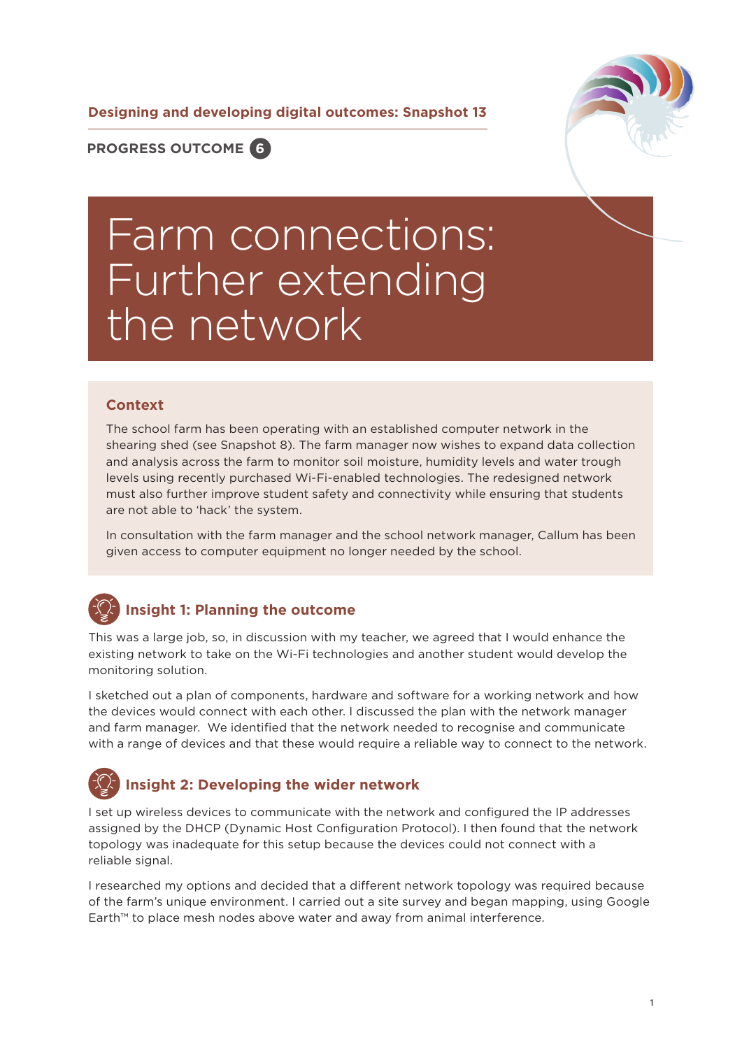**Designing and developing digital outcomes: Snapshot 13**



**PROGRESS OUTCOME 6**

# Farm connections: Further extending the network

#### **Context**

The school farm has been operating with an established computer network in the shearing shed (see Snapshot 8). The farm manager now wishes to expand data collection and analysis across the farm to monitor soil moisture, humidity levels and water trough levels using recently purchased Wi-Fi-enabled technologies. The redesigned network must also further improve student safety and connectivity while ensuring that students are not able to 'hack' the system.

In consultation with the farm manager and the school network manager, Callum has been given access to computer equipment no longer needed by the school.

#### **Insight 1: Planning the outcome**

This was a large job, so, in discussion with my teacher, we agreed that I would enhance the existing network to take on the Wi-Fi technologies and another student would develop the monitoring solution.

I sketched out a plan of components, hardware and software for a working network and how the devices would connect with each other. I discussed the plan with the network manager and farm manager. We identified that the network needed to recognise and communicate with a range of devices and that these would require a reliable way to connect to the network.

# **Insight 2: Developing the wider network**

I set up wireless devices to communicate with the network and configured the IP addresses assigned by the DHCP (Dynamic Host Configuration Protocol). I then found that the network topology was inadequate for this setup because the devices could not connect with a reliable signal.

I researched my options and decided that a different network topology was required because of the farm's unique environment. I carried out a site survey and began mapping, using Google Earth™ to place mesh nodes above water and away from animal interference.